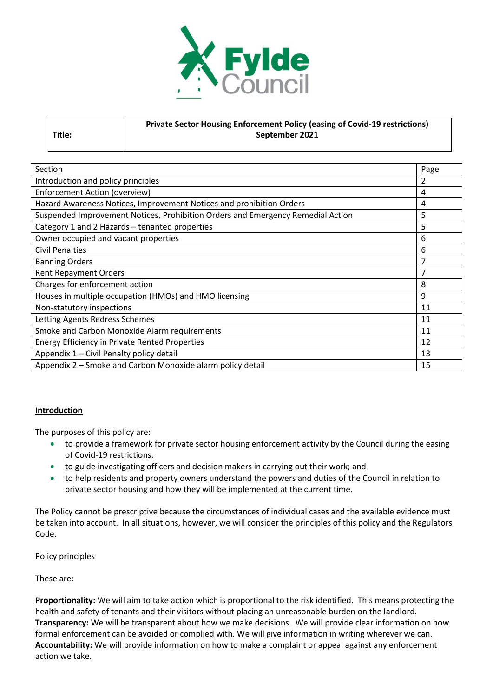

|        | <b>Private Sector Housing Enforcement Policy (easing of Covid-19 restrictions)</b> |
|--------|------------------------------------------------------------------------------------|
| Title: | September 2021                                                                     |
|        |                                                                                    |

| Section                                                                         |   |  |
|---------------------------------------------------------------------------------|---|--|
| Introduction and policy principles                                              |   |  |
| <b>Enforcement Action (overview)</b>                                            |   |  |
| Hazard Awareness Notices, Improvement Notices and prohibition Orders            |   |  |
| Suspended Improvement Notices, Prohibition Orders and Emergency Remedial Action | 5 |  |
| Category 1 and 2 Hazards - tenanted properties                                  |   |  |
| Owner occupied and vacant properties                                            |   |  |
| <b>Civil Penalties</b>                                                          |   |  |
| <b>Banning Orders</b>                                                           | 7 |  |
| <b>Rent Repayment Orders</b>                                                    |   |  |
| Charges for enforcement action                                                  |   |  |
| Houses in multiple occupation (HMOs) and HMO licensing                          |   |  |
| Non-statutory inspections                                                       |   |  |
| Letting Agents Redress Schemes                                                  |   |  |
| Smoke and Carbon Monoxide Alarm requirements                                    |   |  |
| <b>Energy Efficiency in Private Rented Properties</b>                           |   |  |
| Appendix 1 - Civil Penalty policy detail                                        |   |  |
| Appendix 2 - Smoke and Carbon Monoxide alarm policy detail                      |   |  |

### **Introduction**

The purposes of this policy are:

- to provide a framework for private sector housing enforcement activity by the Council during the easing of Covid-19 restrictions.
- to guide investigating officers and decision makers in carrying out their work; and
- to help residents and property owners understand the powers and duties of the Council in relation to private sector housing and how they will be implemented at the current time.

The Policy cannot be prescriptive because the circumstances of individual cases and the available evidence must be taken into account. In all situations, however, we will consider the principles of this policy and the Regulators Code.

Policy principles

These are:

**Proportionality:** We will aim to take action which is proportional to the risk identified. This means protecting the health and safety of tenants and their visitors without placing an unreasonable burden on the landlord. **Transparency:** We will be transparent about how we make decisions. We will provide clear information on how formal enforcement can be avoided or complied with. We will give information in writing wherever we can. **Accountability:** We will provide information on how to make a complaint or appeal against any enforcement action we take.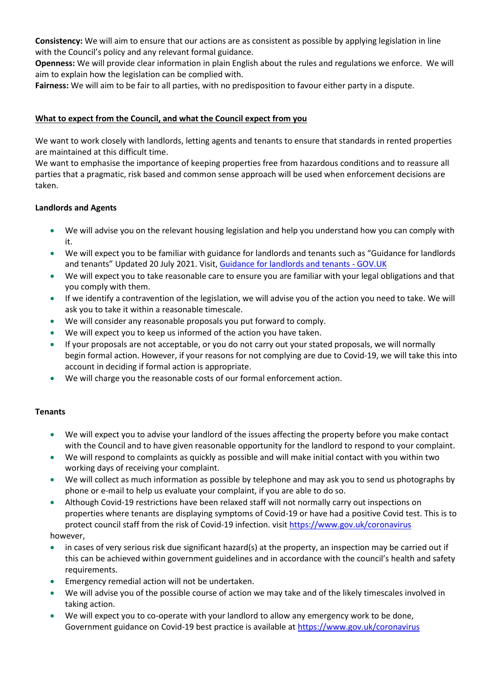**Consistency:** We will aim to ensure that our actions are as consistent as possible by applying legislation in line with the Council's policy and any relevant formal guidance.

**Openness:** We will provide clear information in plain English about the rules and regulations we enforce. We will aim to explain how the legislation can be complied with.

**Fairness:** We will aim to be fair to all parties, with no predisposition to favour either party in a dispute.

## **What to expect from the Council, and what the Council expect from you**

We want to work closely with landlords, letting agents and tenants to ensure that standards in rented properties are maintained at this difficult time.

We want to emphasise the importance of keeping properties free from hazardous conditions and to reassure all parties that a pragmatic, risk based and common sense approach will be used when enforcement decisions are taken.

## **Landlords and Agents**

- We will advise you on the relevant housing legislation and help you understand how you can comply with it.
- We will expect you to be familiar with guidance for landlords and tenants such as "Guidance for landlords and tenants" Updated 20 July 2021. Visit, [Guidance for landlords and tenants -](https://www.gov.uk/government/publications/covid-19-and-renting-guidance-for-landlords-tenants-and-local-authorities/coronavirus-covid-19-guidance-for-landlords-and-tenants) GOV.UK
- We will expect you to take reasonable care to ensure you are familiar with your legal obligations and that you comply with them.
- If we identify a contravention of the legislation, we will advise you of the action you need to take. We will ask you to take it within a reasonable timescale.
- We will consider any reasonable proposals you put forward to comply.
- We will expect you to keep us informed of the action you have taken.
- If your proposals are not acceptable, or you do not carry out your stated proposals, we will normally begin formal action. However, if your reasons for not complying are due to Covid-19, we will take this into account in deciding if formal action is appropriate.
- We will charge you the reasonable costs of our formal enforcement action.

### **Tenants**

- We will expect you to advise your landlord of the issues affecting the property before you make contact with the Council and to have given reasonable opportunity for the landlord to respond to your complaint.
- We will respond to complaints as quickly as possible and will make initial contact with you within two working days of receiving your complaint.
- We will collect as much information as possible by telephone and may ask you to send us photographs by phone or e-mail to help us evaluate your complaint, if you are able to do so.
- Although Covid-19 restrictions have been relaxed staff will not normally carry out inspections on properties where tenants are displaying symptoms of Covid-19 or have had a positive Covid test. This is to protect council staff from the risk of Covid-19 infection. visit <https://www.gov.uk/coronavirus>

### however,

- in cases of very serious risk due significant hazard(s) at the property, an inspection may be carried out if this can be achieved within government guidelines and in accordance with the council's health and safety requirements.
- Emergency remedial action will not be undertaken.
- We will advise you of the possible course of action we may take and of the likely timescales involved in taking action.
- We will expect you to co-operate with your landlord to allow any emergency work to be done, Government guidance on Covid-19 best practice is available a[t https://www.gov.uk/coronavirus](https://www.gov.uk/coronavirus)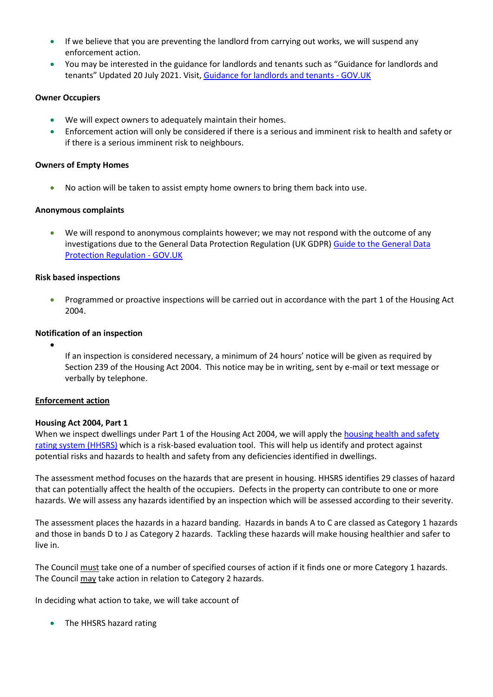- If we believe that you are preventing the landlord from carrying out works, we will suspend any enforcement action.
- You may be interested in the guidance for landlords and tenants such as "Guidance for landlords and tenants" Updated 20 July 2021. Visit, [Guidance for landlords and tenants -](https://www.gov.uk/government/publications/covid-19-and-renting-guidance-for-landlords-tenants-and-local-authorities/coronavirus-covid-19-guidance-for-landlords-and-tenants) GOV.UK

### **Owner Occupiers**

- We will expect owners to adequately maintain their homes.
- Enforcement action will only be considered if there is a serious and imminent risk to health and safety or if there is a serious imminent risk to neighbours.

## **Owners of Empty Homes**

• No action will be taken to assist empty home owners to bring them back into use.

## **Anonymous complaints**

• We will respond to anonymous complaints however; we may not respond with the outcome of any investigations due to the General Data Protection Regulation (UK GDPR) [Guide to the General Data](https://www.gov.uk/government/publications/guide-to-the-general-data-protection-regulation)  [Protection Regulation -](https://www.gov.uk/government/publications/guide-to-the-general-data-protection-regulation) GOV.UK

## **Risk based inspections**

• Programmed or proactive inspections will be carried out in accordance with the part 1 of the Housing Act 2004.

# **Notification of an inspection**

•

If an inspection is considered necessary, a minimum of 24 hours' notice will be given as required by Section 239 of the Housing Act 2004. This notice may be in writing, sent by e-mail or text message or verbally by telephone.

### **Enforcement action**

### **Housing Act 2004, Part 1**

When we inspect dwellings under Part 1 of the Housing Act 2004, we will apply th[e housing health and safety](https://www.gov.uk/government/publications/housing-health-and-safety-rating-system-guidance-for-landlords-and-property-related-professionals)  [rating system \(HHSRS\)](https://www.gov.uk/government/publications/housing-health-and-safety-rating-system-guidance-for-landlords-and-property-related-professionals) which is a risk-based evaluation tool. This will help us identify and protect against potential risks and hazards to health and safety from any deficiencies identified in dwellings.

The assessment method focuses on the hazards that are present in housing. HHSRS identifies 29 classes of hazard that can potentially affect the health of the occupiers. Defects in the property can contribute to one or more hazards. We will assess any hazards identified by an inspection which will be assessed according to their severity.

The assessment places the hazards in a hazard banding. Hazards in bands A to C are classed as Category 1 hazards and those in bands D to J as Category 2 hazards. Tackling these hazards will make housing healthier and safer to live in.

The Council must take one of a number of specified courses of action if it finds one or more Category 1 hazards. The Council may take action in relation to Category 2 hazards.

In deciding what action to take, we will take account of

• The HHSRS hazard rating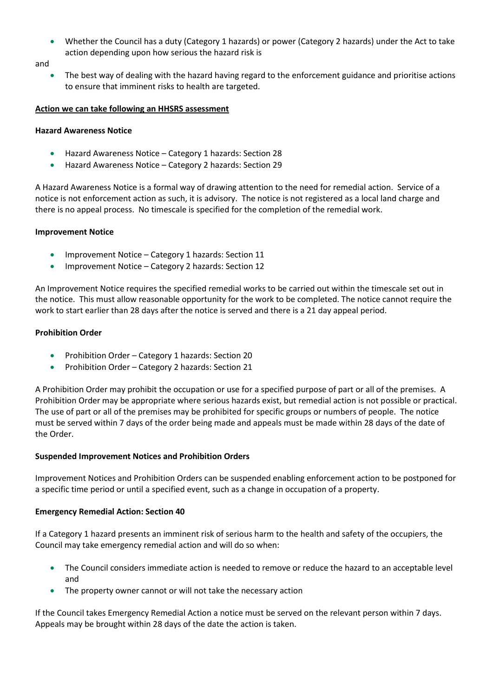• Whether the Council has a duty (Category 1 hazards) or power (Category 2 hazards) under the Act to take action depending upon how serious the hazard risk is

and

• The best way of dealing with the hazard having regard to the enforcement guidance and prioritise actions to ensure that imminent risks to health are targeted.

#### **Action we can take following an HHSRS assessment**

#### **Hazard Awareness Notice**

- Hazard Awareness Notice Category 1 hazards: Section 28
- Hazard Awareness Notice Category 2 hazards: Section 29

A Hazard Awareness Notice is a formal way of drawing attention to the need for remedial action. Service of a notice is not enforcement action as such, it is advisory. The notice is not registered as a local land charge and there is no appeal process. No timescale is specified for the completion of the remedial work.

### **Improvement Notice**

- Improvement Notice Category 1 hazards: Section 11
- Improvement Notice Category 2 hazards: Section 12

An Improvement Notice requires the specified remedial works to be carried out within the timescale set out in the notice. This must allow reasonable opportunity for the work to be completed. The notice cannot require the work to start earlier than 28 days after the notice is served and there is a 21 day appeal period.

### **Prohibition Order**

- Prohibition Order Category 1 hazards: Section 20
- Prohibition Order Category 2 hazards: Section 21

A Prohibition Order may prohibit the occupation or use for a specified purpose of part or all of the premises. A Prohibition Order may be appropriate where serious hazards exist, but remedial action is not possible or practical. The use of part or all of the premises may be prohibited for specific groups or numbers of people. The notice must be served within 7 days of the order being made and appeals must be made within 28 days of the date of the Order.

### **Suspended Improvement Notices and Prohibition Orders**

Improvement Notices and Prohibition Orders can be suspended enabling enforcement action to be postponed for a specific time period or until a specified event, such as a change in occupation of a property.

### **Emergency Remedial Action: Section 40**

If a Category 1 hazard presents an imminent risk of serious harm to the health and safety of the occupiers, the Council may take emergency remedial action and will do so when:

- The Council considers immediate action is needed to remove or reduce the hazard to an acceptable level and
- The property owner cannot or will not take the necessary action

If the Council takes Emergency Remedial Action a notice must be served on the relevant person within 7 days. Appeals may be brought within 28 days of the date the action is taken.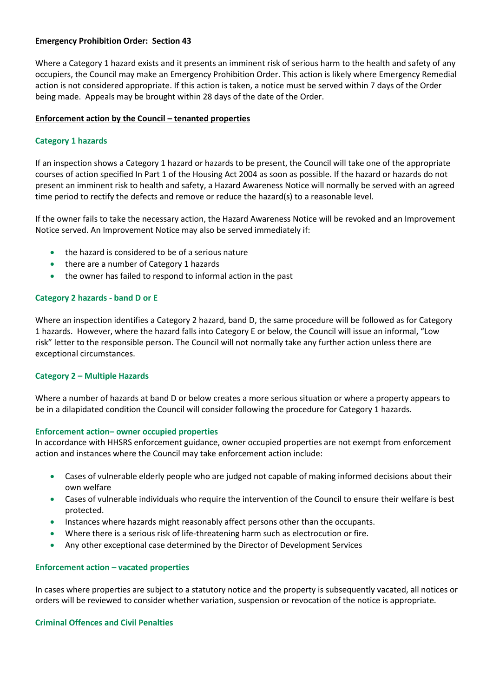## **Emergency Prohibition Order: Section 43**

Where a Category 1 hazard exists and it presents an imminent risk of serious harm to the health and safety of any occupiers, the Council may make an Emergency Prohibition Order. This action is likely where Emergency Remedial action is not considered appropriate. If this action is taken, a notice must be served within 7 days of the Order being made. Appeals may be brought within 28 days of the date of the Order.

### **Enforcement action by the Council – tenanted properties**

## **Category 1 hazards**

If an inspection shows a Category 1 hazard or hazards to be present, the Council will take one of the appropriate courses of action specified In Part 1 of the Housing Act 2004 as soon as possible. If the hazard or hazards do not present an imminent risk to health and safety, a Hazard Awareness Notice will normally be served with an agreed time period to rectify the defects and remove or reduce the hazard(s) to a reasonable level.

If the owner fails to take the necessary action, the Hazard Awareness Notice will be revoked and an Improvement Notice served. An Improvement Notice may also be served immediately if:

- the hazard is considered to be of a serious nature
- there are a number of Category 1 hazards
- the owner has failed to respond to informal action in the past

## **Category 2 hazards - band D or E**

Where an inspection identifies a Category 2 hazard, band D, the same procedure will be followed as for Category 1 hazards. However, where the hazard falls into Category E or below, the Council will issue an informal, "Low risk" letter to the responsible person. The Council will not normally take any further action unless there are exceptional circumstances.

### **Category 2 – Multiple Hazards**

Where a number of hazards at band D or below creates a more serious situation or where a property appears to be in a dilapidated condition the Council will consider following the procedure for Category 1 hazards.

### **Enforcement action– owner occupied properties**

In accordance with HHSRS enforcement guidance, owner occupied properties are not exempt from enforcement action and instances where the Council may take enforcement action include:

- Cases of vulnerable elderly people who are judged not capable of making informed decisions about their own welfare
- Cases of vulnerable individuals who require the intervention of the Council to ensure their welfare is best protected.
- Instances where hazards might reasonably affect persons other than the occupants.
- Where there is a serious risk of life-threatening harm such as electrocution or fire.
- Any other exceptional case determined by the Director of Development Services

### **Enforcement action – vacated properties**

In cases where properties are subject to a statutory notice and the property is subsequently vacated, all notices or orders will be reviewed to consider whether variation, suspension or revocation of the notice is appropriate.

### **Criminal Offences and Civil Penalties**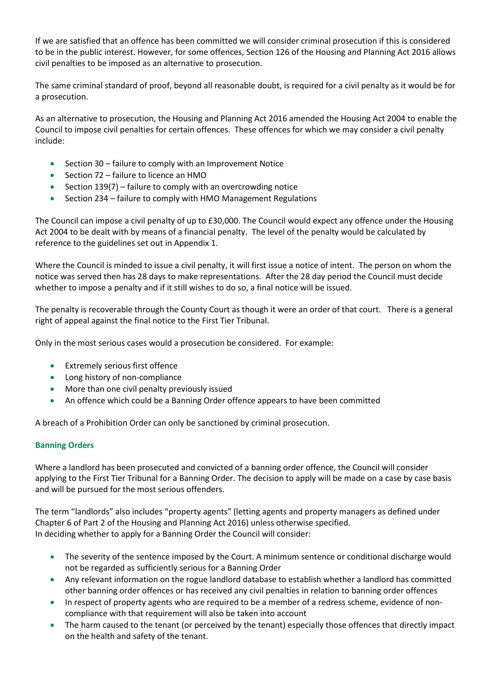If we are satisfied that an offence has been committed we will consider criminal prosecution if this is considered to be in the public interest. However, for some offences, Section 126 of the Housing and Planning Act 2016 allows civil penalties to be imposed as an alternative to prosecution.

The same criminal standard of proof, beyond all reasonable doubt, is required for a civil penalty as it would be for a prosecution.

As an alternative to prosecution, the Housing and Planning Act 2016 amended the Housing Act 2004 to enable the Council to impose civil penalties for certain offences. These offences for which we may consider a civil penalty include:

- Section 30 failure to comply with an Improvement Notice
- Section 72 failure to licence an HMO
- Section 139(7) failure to comply with an overcrowding notice
- Section 234 failure to comply with HMO Management Regulations

The Council can impose a civil penalty of up to £30,000. The Council would expect any offence under the Housing Act 2004 to be dealt with by means of a financial penalty. The level of the penalty would be calculated by reference to the guidelines set out in Appendix 1.

Where the Council is minded to issue a civil penalty, it will first issue a notice of intent. The person on whom the notice was served then has 28 days to make representations. After the 28 day period the Council must decide whether to impose a penalty and if it still wishes to do so, a final notice will be issued.

The penalty is recoverable through the County Court as though it were an order of that court. There is a general right of appeal against the final notice to the First Tier Tribunal.

Only in the most serious cases would a prosecution be considered. For example:

- Extremely serious first offence
- Long history of non-compliance
- More than one civil penalty previously issued
- An offence which could be a Banning Order offence appears to have been committed

A breach of a Prohibition Order can only be sanctioned by criminal prosecution.

## **Banning Orders**

Where a landlord has been prosecuted and convicted of a banning order offence, the Council will consider applying to the First Tier Tribunal for a Banning Order. The decision to apply will be made on a case by case basis and will be pursued for the most serious offenders.

The term "landlords" also includes "property agents" (letting agents and property managers as defined under Chapter 6 of Part 2 of the Housing and Planning Act 2016) unless otherwise specified. In deciding whether to apply for a Banning Order the Council will consider:

- The severity of the sentence imposed by the Court. A minimum sentence or conditional discharge would not be regarded as sufficiently serious for a Banning Order
- Any relevant information on the rogue landlord database to establish whether a landlord has committed other banning order offences or has received any civil penalties in relation to banning order offences
- In respect of property agents who are required to be a member of a redress scheme, evidence of noncompliance with that requirement will also be taken into account
- The harm caused to the tenant (or perceived by the tenant) especially those offences that directly impact on the health and safety of the tenant.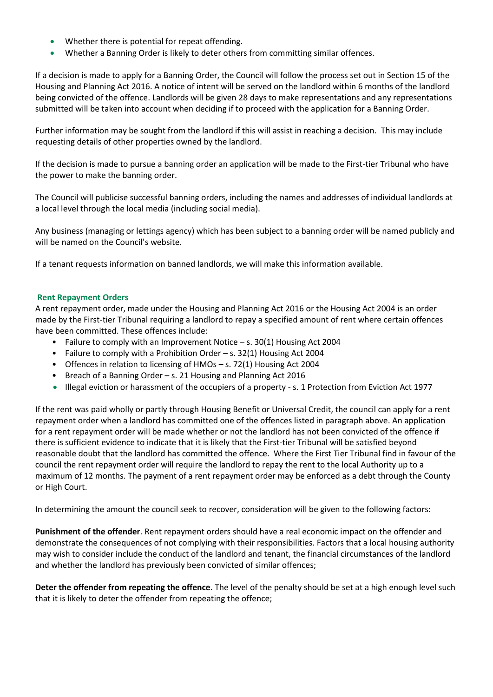- Whether there is potential for repeat offending.
- Whether a Banning Order is likely to deter others from committing similar offences.

If a decision is made to apply for a Banning Order, the Council will follow the process set out in Section 15 of the Housing and Planning Act 2016. A notice of intent will be served on the landlord within 6 months of the landlord being convicted of the offence. Landlords will be given 28 days to make representations and any representations submitted will be taken into account when deciding if to proceed with the application for a Banning Order.

Further information may be sought from the landlord if this will assist in reaching a decision. This may include requesting details of other properties owned by the landlord.

If the decision is made to pursue a banning order an application will be made to the First-tier Tribunal who have the power to make the banning order.

The Council will publicise successful banning orders, including the names and addresses of individual landlords at a local level through the local media (including social media).

Any business (managing or lettings agency) which has been subject to a banning order will be named publicly and will be named on the Council's website.

If a tenant requests information on banned landlords, we will make this information available.

## **Rent Repayment Orders**

A rent repayment order, made under the Housing and Planning Act 2016 or the Housing Act 2004 is an order made by the First-tier Tribunal requiring a landlord to repay a specified amount of rent where certain offences have been committed. These offences include:

- Failure to comply with an Improvement Notice s. 30(1) Housing Act 2004
- Failure to comply with a Prohibition Order s. 32(1) Housing Act 2004
- Offences in relation to licensing of HMOs s. 72(1) Housing Act 2004
- Breach of a Banning Order s. 21 Housing and Planning Act 2016
- Illegal eviction or harassment of the occupiers of a property s. 1 Protection from Eviction Act 1977

If the rent was paid wholly or partly through Housing Benefit or Universal Credit, the council can apply for a rent repayment order when a landlord has committed one of the offences listed in paragraph above. An application for a rent repayment order will be made whether or not the landlord has not been convicted of the offence if there is sufficient evidence to indicate that it is likely that the First-tier Tribunal will be satisfied beyond reasonable doubt that the landlord has committed the offence. Where the First Tier Tribunal find in favour of the council the rent repayment order will require the landlord to repay the rent to the local Authority up to a maximum of 12 months. The payment of a rent repayment order may be enforced as a debt through the County or High Court.

In determining the amount the council seek to recover, consideration will be given to the following factors:

**Punishment of the offender**. Rent repayment orders should have a real economic impact on the offender and demonstrate the consequences of not complying with their responsibilities. Factors that a local housing authority may wish to consider include the conduct of the landlord and tenant, the financial circumstances of the landlord and whether the landlord has previously been convicted of similar offences;

**Deter the offender from repeating the offence**. The level of the penalty should be set at a high enough level such that it is likely to deter the offender from repeating the offence;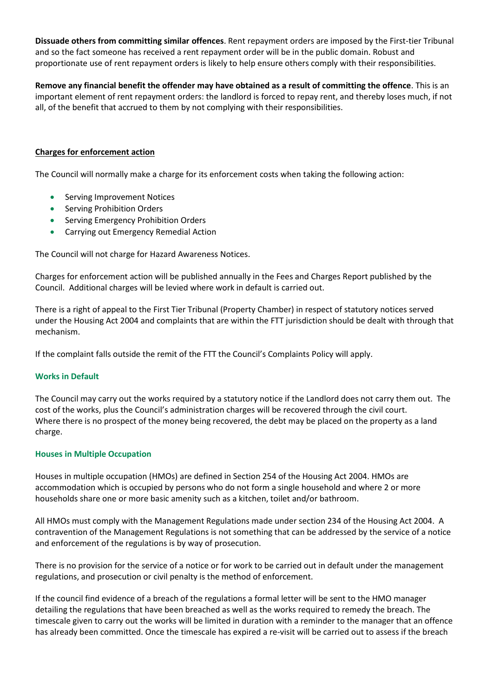**Dissuade others from committing similar offences**. Rent repayment orders are imposed by the First-tier Tribunal and so the fact someone has received a rent repayment order will be in the public domain. Robust and proportionate use of rent repayment orders is likely to help ensure others comply with their responsibilities.

**Remove any financial benefit the offender may have obtained as a result of committing the offence**. This is an important element of rent repayment orders: the landlord is forced to repay rent, and thereby loses much, if not all, of the benefit that accrued to them by not complying with their responsibilities.

## **Charges for enforcement action**

The Council will normally make a charge for its enforcement costs when taking the following action:

- Serving Improvement Notices
- Serving Prohibition Orders
- Serving Emergency Prohibition Orders
- Carrying out Emergency Remedial Action

The Council will not charge for Hazard Awareness Notices.

Charges for enforcement action will be published annually in the Fees and Charges Report published by the Council. Additional charges will be levied where work in default is carried out.

There is a right of appeal to the First Tier Tribunal (Property Chamber) in respect of statutory notices served under the Housing Act 2004 and complaints that are within the FTT jurisdiction should be dealt with through that mechanism.

If the complaint falls outside the remit of the FTT the Council's Complaints Policy will apply.

### **Works in Default**

The Council may carry out the works required by a statutory notice if the Landlord does not carry them out. The cost of the works, plus the Council's administration charges will be recovered through the civil court. Where there is no prospect of the money being recovered, the debt may be placed on the property as a land charge.

### **Houses in Multiple Occupation**

Houses in multiple occupation (HMOs) are defined in Section 254 of the Housing Act 2004. HMOs are accommodation which is occupied by persons who do not form a single household and where 2 or more households share one or more basic amenity such as a kitchen, toilet and/or bathroom.

All HMOs must comply with the Management Regulations made under section 234 of the Housing Act 2004. A contravention of the Management Regulations is not something that can be addressed by the service of a notice and enforcement of the regulations is by way of prosecution.

There is no provision for the service of a notice or for work to be carried out in default under the management regulations, and prosecution or civil penalty is the method of enforcement.

If the council find evidence of a breach of the regulations a formal letter will be sent to the HMO manager detailing the regulations that have been breached as well as the works required to remedy the breach. The timescale given to carry out the works will be limited in duration with a reminder to the manager that an offence has already been committed. Once the timescale has expired a re-visit will be carried out to assess if the breach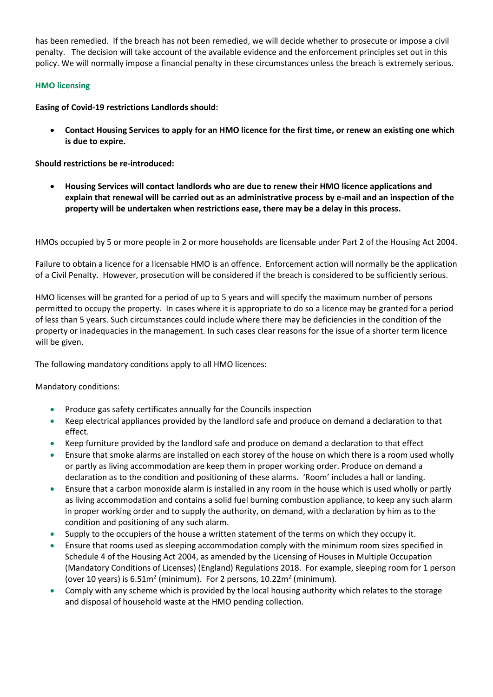has been remedied. If the breach has not been remedied, we will decide whether to prosecute or impose a civil penalty. The decision will take account of the available evidence and the enforcement principles set out in this policy. We will normally impose a financial penalty in these circumstances unless the breach is extremely serious.

## **HMO licensing**

**Easing of Covid-19 restrictions Landlords should:**

• **Contact Housing Services to apply for an HMO licence for the first time, or renew an existing one which is due to expire.** 

**Should restrictions be re-introduced:**

• **Housing Services will contact landlords who are due to renew their HMO licence applications and explain that renewal will be carried out as an administrative process by e-mail and an inspection of the property will be undertaken when restrictions ease, there may be a delay in this process.**

HMOs occupied by 5 or more people in 2 or more households are licensable under Part 2 of the Housing Act 2004.

Failure to obtain a licence for a licensable HMO is an offence. Enforcement action will normally be the application of a Civil Penalty. However, prosecution will be considered if the breach is considered to be sufficiently serious.

HMO licenses will be granted for a period of up to 5 years and will specify the maximum number of persons permitted to occupy the property. In cases where it is appropriate to do so a licence may be granted for a period of less than 5 years. Such circumstances could include where there may be deficiencies in the condition of the property or inadequacies in the management. In such cases clear reasons for the issue of a shorter term licence will be given.

The following mandatory conditions apply to all HMO licences:

Mandatory conditions:

- Produce gas safety certificates annually for the Councils inspection
- Keep electrical appliances provided by the landlord safe and produce on demand a declaration to that effect.
- Keep furniture provided by the landlord safe and produce on demand a declaration to that effect
- Ensure that smoke alarms are installed on each storey of the house on which there is a room used wholly or partly as living accommodation are keep them in proper working order. Produce on demand a declaration as to the condition and positioning of these alarms. 'Room' includes a hall or landing.
- Ensure that a carbon monoxide alarm is installed in any room in the house which is used wholly or partly as living accommodation and contains a solid fuel burning combustion appliance, to keep any such alarm in proper working order and to supply the authority, on demand, with a declaration by him as to the condition and positioning of any such alarm.
- Supply to the occupiers of the house a written statement of the terms on which they occupy it.
- Ensure that rooms used as sleeping accommodation comply with the minimum room sizes specified in Schedule 4 of the Housing Act 2004, as amended by the Licensing of Houses in Multiple Occupation (Mandatory Conditions of Licenses) (England) Regulations 2018. For example, sleeping room for 1 person (over 10 years) is  $6.51m^2$  (minimum). For 2 persons, 10.22m<sup>2</sup> (minimum).
- Comply with any scheme which is provided by the local housing authority which relates to the storage and disposal of household waste at the HMO pending collection.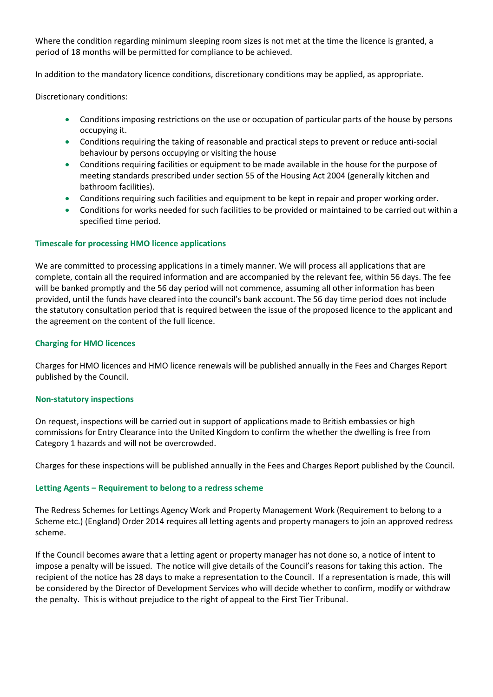Where the condition regarding minimum sleeping room sizes is not met at the time the licence is granted, a period of 18 months will be permitted for compliance to be achieved.

In addition to the mandatory licence conditions, discretionary conditions may be applied, as appropriate.

Discretionary conditions:

- Conditions imposing restrictions on the use or occupation of particular parts of the house by persons occupying it.
- Conditions requiring the taking of reasonable and practical steps to prevent or reduce anti-social behaviour by persons occupying or visiting the house
- Conditions requiring facilities or equipment to be made available in the house for the purpose of meeting standards prescribed under section 55 of the Housing Act 2004 (generally kitchen and bathroom facilities).
- Conditions requiring such facilities and equipment to be kept in repair and proper working order.
- Conditions for works needed for such facilities to be provided or maintained to be carried out within a specified time period.

### **Timescale for processing HMO licence applications**

We are committed to processing applications in a timely manner. We will process all applications that are complete, contain all the required information and are accompanied by the relevant fee, within 56 days. The fee will be banked promptly and the 56 day period will not commence, assuming all other information has been provided, until the funds have cleared into the council's bank account. The 56 day time period does not include the statutory consultation period that is required between the issue of the proposed licence to the applicant and the agreement on the content of the full licence.

### **Charging for HMO licences**

Charges for HMO licences and HMO licence renewals will be published annually in the Fees and Charges Report published by the Council.

### **Non-statutory inspections**

On request, inspections will be carried out in support of applications made to British embassies or high commissions for Entry Clearance into the United Kingdom to confirm the whether the dwelling is free from Category 1 hazards and will not be overcrowded.

Charges for these inspections will be published annually in the Fees and Charges Report published by the Council.

### **Letting Agents – Requirement to belong to a redress scheme**

The Redress Schemes for Lettings Agency Work and Property Management Work (Requirement to belong to a Scheme etc.) (England) Order 2014 requires all letting agents and property managers to join an approved redress scheme.

If the Council becomes aware that a letting agent or property manager has not done so, a notice of intent to impose a penalty will be issued. The notice will give details of the Council's reasons for taking this action. The recipient of the notice has 28 days to make a representation to the Council. If a representation is made, this will be considered by the Director of Development Services who will decide whether to confirm, modify or withdraw the penalty. This is without prejudice to the right of appeal to the First Tier Tribunal.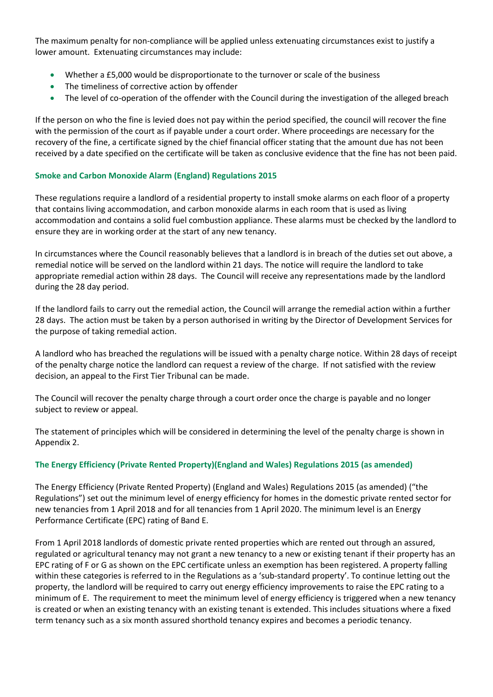The maximum penalty for non-compliance will be applied unless extenuating circumstances exist to justify a lower amount. Extenuating circumstances may include:

- Whether a £5,000 would be disproportionate to the turnover or scale of the business
- The timeliness of corrective action by offender
- The level of co-operation of the offender with the Council during the investigation of the alleged breach

If the person on who the fine is levied does not pay within the period specified, the council will recover the fine with the permission of the court as if payable under a court order. Where proceedings are necessary for the recovery of the fine, a certificate signed by the chief financial officer stating that the amount due has not been received by a date specified on the certificate will be taken as conclusive evidence that the fine has not been paid.

## **Smoke and Carbon Monoxide Alarm (England) Regulations 2015**

These regulations require a landlord of a residential property to install smoke alarms on each floor of a property that contains living accommodation, and carbon monoxide alarms in each room that is used as living accommodation and contains a solid fuel combustion appliance. These alarms must be checked by the landlord to ensure they are in working order at the start of any new tenancy.

In circumstances where the Council reasonably believes that a landlord is in breach of the duties set out above, a remedial notice will be served on the landlord within 21 days. The notice will require the landlord to take appropriate remedial action within 28 days. The Council will receive any representations made by the landlord during the 28 day period.

If the landlord fails to carry out the remedial action, the Council will arrange the remedial action within a further 28 days. The action must be taken by a person authorised in writing by the Director of Development Services for the purpose of taking remedial action.

A landlord who has breached the regulations will be issued with a penalty charge notice. Within 28 days of receipt of the penalty charge notice the landlord can request a review of the charge. If not satisfied with the review decision, an appeal to the First Tier Tribunal can be made.

The Council will recover the penalty charge through a court order once the charge is payable and no longer subject to review or appeal.

The statement of principles which will be considered in determining the level of the penalty charge is shown in Appendix 2.

## **The Energy Efficiency (Private Rented Property)(England and Wales) Regulations 2015 (as amended)**

The Energy Efficiency (Private Rented Property) (England and Wales) Regulations 2015 (as amended) ("the Regulations") set out the minimum level of energy efficiency for homes in the domestic private rented sector for new tenancies from 1 April 2018 and for all tenancies from 1 April 2020. The minimum level is an Energy Performance Certificate (EPC) rating of Band E.

From 1 April 2018 landlords of domestic private rented properties which are rented out through an assured, regulated or agricultural tenancy may not grant a new tenancy to a new or existing tenant if their property has an EPC rating of F or G as shown on the EPC certificate unless an exemption has been registered. A property falling within these categories is referred to in the Regulations as a 'sub-standard property'. To continue letting out the property, the landlord will be required to carry out energy efficiency improvements to raise the EPC rating to a minimum of E. The requirement to meet the minimum level of energy efficiency is triggered when a new tenancy is created or when an existing tenancy with an existing tenant is extended. This includes situations where a fixed term tenancy such as a six month assured shorthold tenancy expires and becomes a periodic tenancy.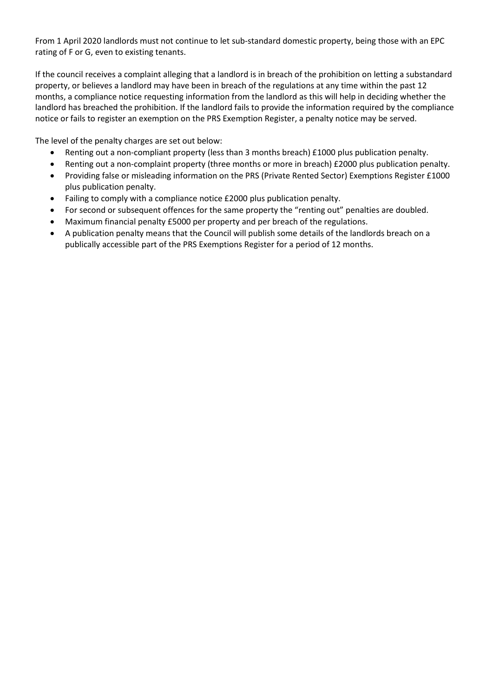From 1 April 2020 landlords must not continue to let sub-standard domestic property, being those with an EPC rating of F or G, even to existing tenants.

If the council receives a complaint alleging that a landlord is in breach of the prohibition on letting a substandard property, or believes a landlord may have been in breach of the regulations at any time within the past 12 months, a compliance notice requesting information from the landlord as this will help in deciding whether the landlord has breached the prohibition. If the landlord fails to provide the information required by the compliance notice or fails to register an exemption on the PRS Exemption Register, a penalty notice may be served.

The level of the penalty charges are set out below:

- Renting out a non-compliant property (less than 3 months breach) £1000 plus publication penalty.
- Renting out a non-complaint property (three months or more in breach) £2000 plus publication penalty.
- Providing false or misleading information on the PRS (Private Rented Sector) Exemptions Register £1000 plus publication penalty.
- Failing to comply with a compliance notice £2000 plus publication penalty.
- For second or subsequent offences for the same property the "renting out" penalties are doubled.
- Maximum financial penalty £5000 per property and per breach of the regulations.
- A publication penalty means that the Council will publish some details of the landlords breach on a publically accessible part of the PRS Exemptions Register for a period of 12 months.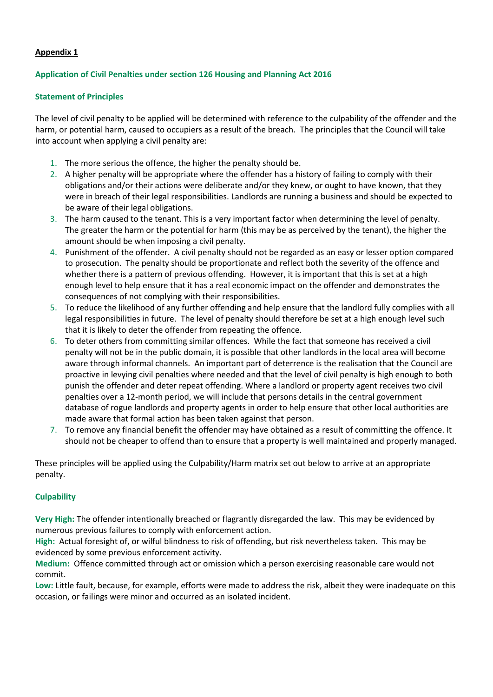## **Appendix 1**

## **Application of Civil Penalties under section 126 Housing and Planning Act 2016**

### **Statement of Principles**

The level of civil penalty to be applied will be determined with reference to the culpability of the offender and the harm, or potential harm, caused to occupiers as a result of the breach. The principles that the Council will take into account when applying a civil penalty are:

- 1. The more serious the offence, the higher the penalty should be.
- 2. A higher penalty will be appropriate where the offender has a history of failing to comply with their obligations and/or their actions were deliberate and/or they knew, or ought to have known, that they were in breach of their legal responsibilities. Landlords are running a business and should be expected to be aware of their legal obligations.
- 3. The harm caused to the tenant. This is a very important factor when determining the level of penalty. The greater the harm or the potential for harm (this may be as perceived by the tenant), the higher the amount should be when imposing a civil penalty.
- 4. Punishment of the offender. A civil penalty should not be regarded as an easy or lesser option compared to prosecution. The penalty should be proportionate and reflect both the severity of the offence and whether there is a pattern of previous offending. However, it is important that this is set at a high enough level to help ensure that it has a real economic impact on the offender and demonstrates the consequences of not complying with their responsibilities.
- 5. To reduce the likelihood of any further offending and help ensure that the landlord fully complies with all legal responsibilities in future. The level of penalty should therefore be set at a high enough level such that it is likely to deter the offender from repeating the offence.
- 6. To deter others from committing similar offences. While the fact that someone has received a civil penalty will not be in the public domain, it is possible that other landlords in the local area will become aware through informal channels. An important part of deterrence is the realisation that the Council are proactive in levying civil penalties where needed and that the level of civil penalty is high enough to both punish the offender and deter repeat offending. Where a landlord or property agent receives two civil penalties over a 12-month period, we will include that persons details in the central government database of rogue landlords and property agents in order to help ensure that other local authorities are made aware that formal action has been taken against that person.
- 7. To remove any financial benefit the offender may have obtained as a result of committing the offence. It should not be cheaper to offend than to ensure that a property is well maintained and properly managed.

These principles will be applied using the Culpability/Harm matrix set out below to arrive at an appropriate penalty.

### **Culpability**

**Very High:** The offender intentionally breached or flagrantly disregarded the law. This may be evidenced by numerous previous failures to comply with enforcement action.

**High:** Actual foresight of, or wilful blindness to risk of offending, but risk nevertheless taken. This may be evidenced by some previous enforcement activity.

**Medium:** Offence committed through act or omission which a person exercising reasonable care would not commit.

**Low:** Little fault, because, for example, efforts were made to address the risk, albeit they were inadequate on this occasion, or failings were minor and occurred as an isolated incident.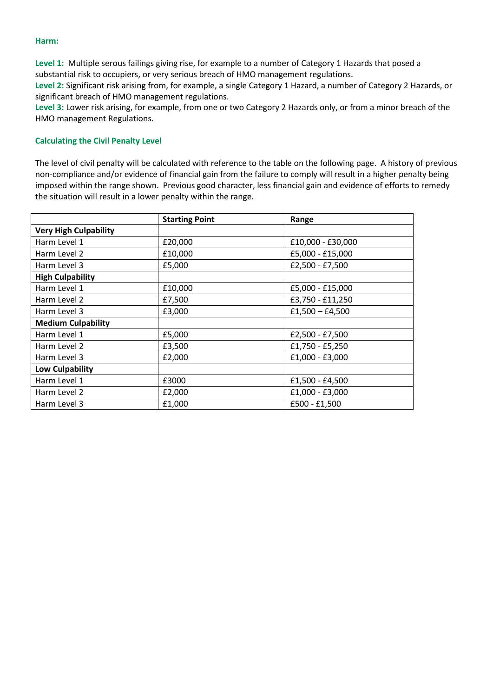#### **Harm:**

**Level 1:** Multiple serous failings giving rise, for example to a number of Category 1 Hazards that posed a substantial risk to occupiers, or very serious breach of HMO management regulations.

**Level 2:** Significant risk arising from, for example, a single Category 1 Hazard, a number of Category 2 Hazards, or significant breach of HMO management regulations.

**Level 3:** Lower risk arising, for example, from one or two Category 2 Hazards only, or from a minor breach of the HMO management Regulations.

### **Calculating the Civil Penalty Level**

The level of civil penalty will be calculated with reference to the table on the following page. A history of previous non-compliance and/or evidence of financial gain from the failure to comply will result in a higher penalty being imposed within the range shown. Previous good character, less financial gain and evidence of efforts to remedy the situation will result in a lower penalty within the range.

|                              | <b>Starting Point</b> | Range             |  |
|------------------------------|-----------------------|-------------------|--|
| <b>Very High Culpability</b> |                       |                   |  |
| Harm Level 1                 | £20,000               | £10,000 - £30,000 |  |
| Harm Level 2                 | £10,000               | £5,000 - £15,000  |  |
| Harm Level 3                 | £5,000                | £2,500 - £7,500   |  |
| <b>High Culpability</b>      |                       |                   |  |
| Harm Level 1<br>£10,000      |                       | £5,000 - £15,000  |  |
| Harm Level 2                 | £7,500                | £3,750 - £11,250  |  |
| Harm Level 3                 | £3,000                | $£1,500 - £4,500$ |  |
| <b>Medium Culpability</b>    |                       |                   |  |
| Harm Level 1                 | £5,000                | £2,500 - £7,500   |  |
| Harm Level 2                 | £3,500                | £1,750 - £5,250   |  |
| Harm Level 3                 | £2,000                | £1,000 - £3,000   |  |
| <b>Low Culpability</b>       |                       |                   |  |
| Harm Level 1                 | £3000                 | £1,500 - £4,500   |  |
| Harm Level 2                 | £2,000                | £1,000 - £3,000   |  |
| Harm Level 3                 | £1,000                | £500 - £1,500     |  |